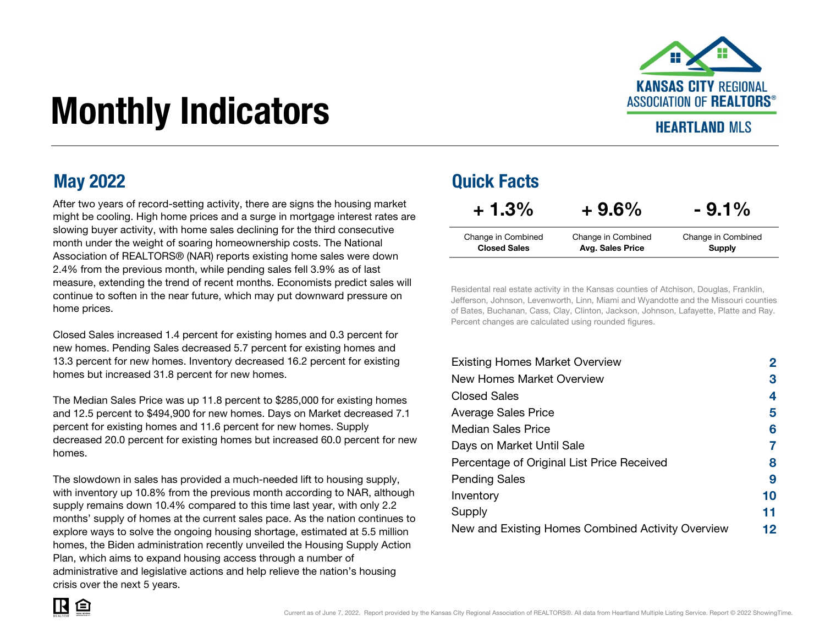

**HEARTLAND MIS** 

# Monthly Indicators

After two years of record-setting activity, there are signs the housing market might be cooling. High home prices and a surge in mortgage interest rates are slowing buyer activity, with home sales declining for the third consecutive month under the weight of soaring homeownership costs. The National Association of REALTORS® (NAR) reports existing home sales were down 2.4% from the previous month, while pending sales fell 3.9% as of last measure, extending the trend of recent months. Economists predict sales will continue to soften in the near future, which may put downward pressure on home prices.

Closed Sales increased 1.4 percent for existing homes and 0.3 percent for new homes. Pending Sales decreased 5.7 percent for existing homes and 13.3 percent for new homes. Inventory decreased 16.2 percent for existing homes but increased 31.8 percent for new homes.

The Median Sales Price was up 11.8 percent to \$285,000 for existing homes and 12.5 percent to \$494,900 for new homes. Days on Market decreased 7.1 percent for existing homes and 11.6 percent for new homes. Supply decreased 20.0 percent for existing homes but increased 60.0 percent for new homes.

The slowdown in sales has provided a much-needed lift to housing supply, with inventory up 10.8% from the previous month according to NAR, although supply remains down 10.4% compared to this time last year, with only 2.2 months' supply of homes at the current sales pace. As the nation continues to explore ways to solve the ongoing housing shortage, estimated at 5.5 million homes, the Biden administration recently unveiled the Housing Supply Action Plan, which aims to expand housing access through a number of administrative and legislative actions and help relieve the nation's housing crisis over the next 5 years.

### May 2022 Quick Facts

| $+1.3%$             | $+9.6%$                 | $-9.1\%$           |
|---------------------|-------------------------|--------------------|
| Change in Combined  | Change in Combined      | Change in Combined |
| <b>Closed Sales</b> | <b>Avg. Sales Price</b> | <b>Supply</b>      |

Residental real estate activity in the Kansas counties of Atchison, Douglas, Franklin, Jefferson, Johnson, Levenworth, Linn, Miami and Wyandotte and the Missouri counties of Bates, Buchanan, Cass, Clay, Clinton, Jackson, Johnson, Lafayette, Platte and Ray. Percent changes are calculated using rounded figures.

| <b>Existing Homes Market Overview</b>             | 2  |
|---------------------------------------------------|----|
| New Homes Market Overview                         | З  |
| <b>Closed Sales</b>                               | 4  |
| <b>Average Sales Price</b>                        | 5  |
| <b>Median Sales Price</b>                         | 6  |
| Days on Market Until Sale                         |    |
| Percentage of Original List Price Received        | 8  |
| <b>Pending Sales</b>                              | 9  |
| Inventory                                         | 10 |
| Supply                                            | 11 |
| New and Existing Homes Combined Activity Overview | 12 |

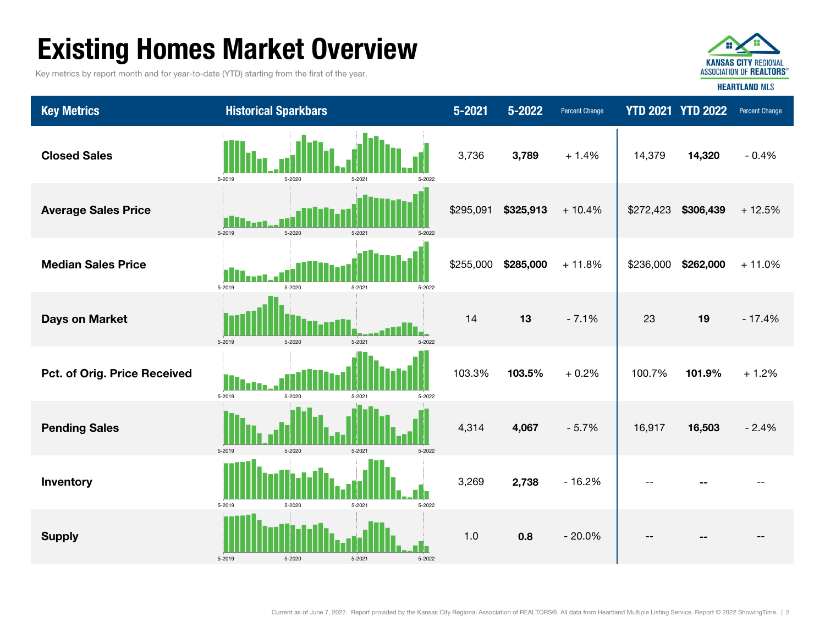## Existing Homes Market Overview

Key metrics by report month and for year-to-date (YTD) starting from the first of the year.



Key Metrics **Examples Transfer Historical Sparkbars** 5-2021 5-2021 5-2022 Percent Change YTD 2021 YTD 2022 Percent Change --Supply 1.0 0.8 - 20.0% -- -- -- Inventory 3,269 2,738 - 16.2% -- --  $+1.2%$ Pending Sales 4,314 4,067 - 5.7% 16,917 16,503 - 2.4% **Pct. of Orig. Price Received \begin{array}{c|c|c|c|c|c|c|c} \hline \textbf{I} & \textbf{II} & \textbf{II} & \textbf{II} & \textbf{II} & \textbf{II} & \textbf{II} & \textbf{II} & \textbf{II} & \textbf{II} & \textbf{II} & \textbf{II} & \textbf{II} & \textbf{II} & \textbf{II} & \textbf{II} & \textbf{II} & \textbf{II} & \textbf{II} & \textbf{II} & \textbf{II} & \textbf{II} & \textbf{II} & \textbf{II** + 11.0%Days on Market 14 13 - 7.1% 23 19 - 17.4% Median Sales Price $$255,000$   $$285,000$   $+11.8\%$   $$236,000$   $$262,000$ 14,320 - 0.4% **Average Sales Price**  2.5% 14,379 Closed Sales 3,736 3,789 + 1.4% 5-2019 5-2020 5-2021 5-2022 5-2019 5-2020 5-2021 5-2022 5-2019 5-2020 5-2021 5-2022 5-2019 5-2020 5-2021 5-2022 5-2019 5-2020 5-2021 5-2022 5-2019 5-2020 5-2021 5-2022 5-2019 5-2020 5-2021 5-2022 5-20195-2020 5-2021 5-2022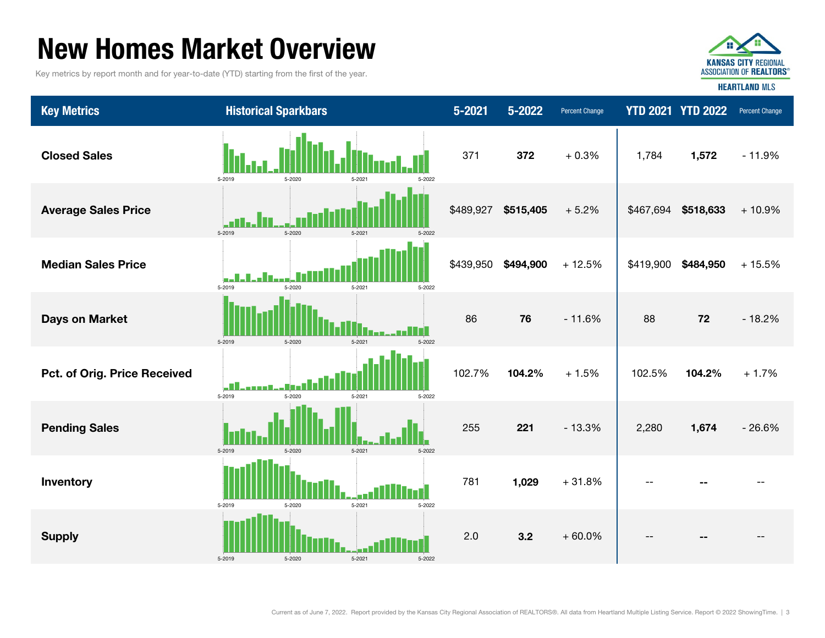### New Homes Market Overview

Key metrics by report month and for year-to-date (YTD) starting from the first of the year.



**HEARTLAND MLS** 

| <b>Key Metrics</b>           | <b>Historical Sparkbars</b>                                   | $5 - 2021$ | 5-2022    | <b>Percent Change</b> |           | <b>YTD 2021 YTD 2022</b> | Percent Change |
|------------------------------|---------------------------------------------------------------|------------|-----------|-----------------------|-----------|--------------------------|----------------|
| <b>Closed Sales</b>          | 5-2019<br>5-2020<br>5-2021<br>5-2022                          | 371        | 372       | $+0.3%$               | 1,784     | 1,572                    | $-11.9%$       |
| <b>Average Sales Price</b>   | 5-2019<br>5-2020<br>5-2021<br>5-2022                          | \$489,927  | \$515,405 | $+5.2%$               | \$467,694 | \$518,633                | $+10.9%$       |
| <b>Median Sales Price</b>    | <u>an Balba</u> n Ing<br>5-2019<br>5-2020<br>5-2021<br>5-2022 | \$439,950  | \$494,900 | $+12.5%$              | \$419,900 | \$484,950                | $+15.5%$       |
| <b>Days on Market</b>        | 5-2019<br>$5 - 2020$<br>5-2021<br>5-2022                      | 86         | 76        | $-11.6%$              | 88        | 72                       | $-18.2%$       |
| Pct. of Orig. Price Received | 5-2019<br>5-2020<br>5-2021<br>5-2022                          | 102.7%     | 104.2%    | $+1.5%$               | 102.5%    | 104.2%                   | $+1.7%$        |
| <b>Pending Sales</b>         | 5-2019<br>$5 - 2021$<br>$5 - 2020$<br>5-2022                  | 255        | 221       | $-13.3%$              | 2,280     | 1,674                    | $-26.6%$       |
| Inventory                    | 5-2019<br>5-2021<br>5-2020<br>5-2022                          | 781        | 1,029     | $+31.8%$              | --        |                          |                |
| <b>Supply</b>                | 5-2019<br>5-2021<br>5-2020<br>5-2022                          | 2.0        | 3.2       | $+60.0\%$             | $-$       |                          |                |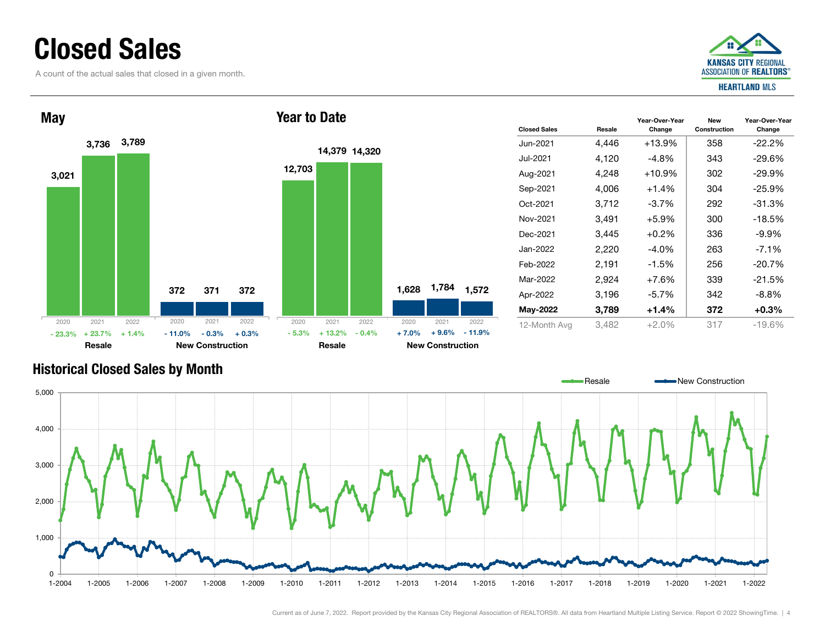### Closed Sales

A count of the actual sales that closed in a given month.





| <b>Closed Sales</b> | Resale | Year-Over-Year<br>Change | <b>New</b><br>Construction | Year-Over-Year<br>Change |
|---------------------|--------|--------------------------|----------------------------|--------------------------|
| Jun-2021            | 4,446  | $+13.9%$                 | 358                        | $-22.2\%$                |
| Jul-2021            | 4,120  | -4.8%                    | 343                        | $-29.6%$                 |
| Aug-2021            | 4,248  | $+10.9\%$                | 302                        | $-29.9%$                 |
| Sep-2021            | 4,006  | $+1.4%$                  | 304                        | $-25.9%$                 |
| Oct-2021            | 3,712  | $-3.7%$                  | 292                        | $-31.3%$                 |
| Nov-2021            | 3,491  | $+5.9%$                  | 300                        | $-18.5%$                 |
| Dec-2021            | 3.445  | $+0.2\%$                 | 336                        | $-9.9\%$                 |
| Jan-2022            | 2,220  | $-4.0\%$                 | 263                        | $-7.1\%$                 |
| Feb-2022            | 2,191  | $-1.5%$                  | 256                        | $-20.7%$                 |
| Mar-2022            | 2,924  | $+7.6%$                  | 339                        | $-21.5%$                 |
| Apr-2022            | 3,196  | -5.7%                    | 342                        | $-8.8\%$                 |
| May-2022            | 3,789  | $+1.4%$                  | 372                        | $+0.3%$                  |
| 12-Month Avg        | 3,482  | $+2.0%$                  | 317                        | $-19.6%$                 |

#### Historical Closed Sales by Month

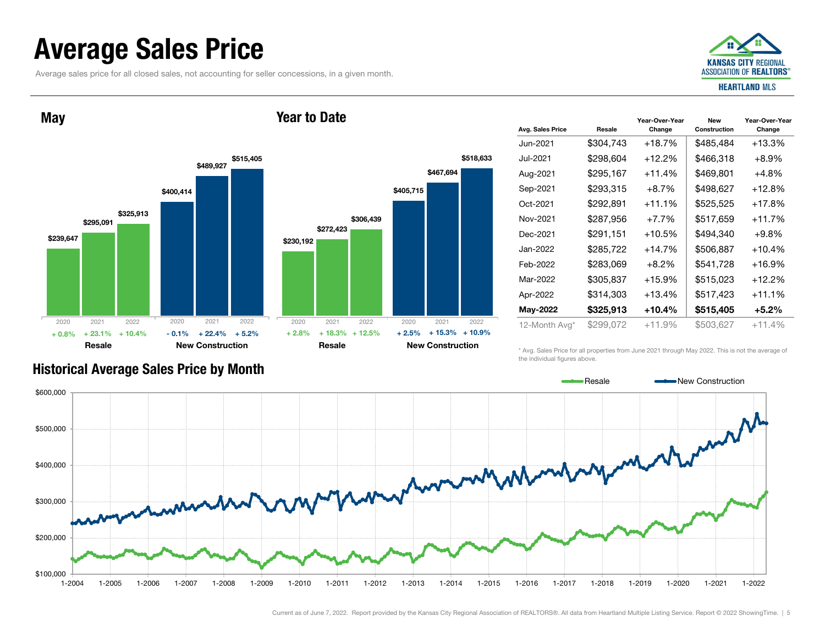### Average Sales Price

Average sales price for all closed sales, not accounting for seller concessions, in a given month.



**May** 



Year to Date

|                  | Resale    | Year-Over-Year | <b>New</b><br>Construction | Year-Over-Year |
|------------------|-----------|----------------|----------------------------|----------------|
| Avg. Sales Price |           | Change         |                            | Change         |
| Jun-2021         | \$304,743 | $+18.7%$       | \$485,484                  | $+13.3%$       |
| Jul-2021         | \$298,604 | $+12.2%$       | \$466,318                  | $+8.9%$        |
| Aug-2021         | \$295,167 | $+11.4%$       | \$469,801                  | +4.8%          |
| Sep-2021         | \$293,315 | $+8.7\%$       | \$498,627                  | $+12.8%$       |
| Oct-2021         | \$292,891 | $+11.1%$       | \$525,525                  | $+17.8%$       |
| Nov-2021         | \$287,956 | $+7.7%$        | \$517,659                  | $+11.7%$       |
| Dec-2021         | \$291,151 | $+10.5%$       | \$494,340                  | $+9.8\%$       |
| Jan-2022         | \$285,722 | $+14.7%$       | \$506,887                  | $+10.4%$       |
| Feb-2022         | \$283,069 | $+8.2%$        | \$541,728                  | $+16.9%$       |
| Mar-2022         | \$305,837 | $+15.9%$       | \$515,023                  | $+12.2%$       |
| Apr-2022         | \$314,303 | $+13.4%$       | \$517,423                  | $+11.1%$       |
| May-2022         | \$325,913 | +10.4%         | \$515,405                  | $+5.2%$        |
| 12-Month Avg*    | \$299,072 | $+11.9%$       | \$503,627                  | +11.4%         |

Historical Average Sales Price by Month

\* Avg. Sales Price for all properties from June 2021 through May 2022. This is not the average of the individual figures above.

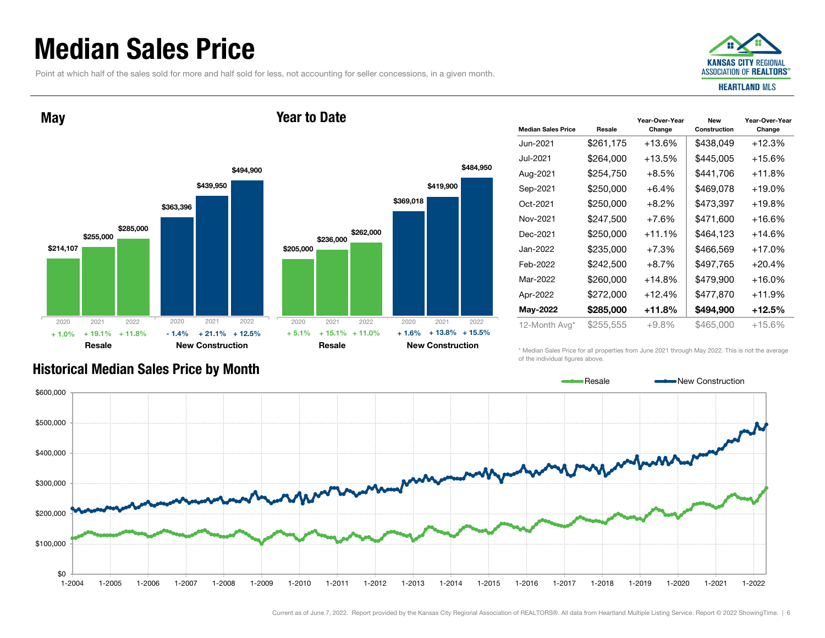### Median Sales Price

Point at which half of the sales sold for more and half sold for less, not accounting for seller concessions, in a given month.



**May** 





| <b>Median Sales Price</b> | Resale    | Year-Over-Year<br>Change | <b>New</b><br>Construction | Year-Over-Year<br>Change |
|---------------------------|-----------|--------------------------|----------------------------|--------------------------|
| Jun-2021                  | \$261,175 | +13.6%                   | \$438,049                  | $+12.3%$                 |
| Jul-2021                  | \$264,000 | $+13.5%$                 | \$445,005                  | $+15.6%$                 |
| Aug-2021                  | \$254,750 | $+8.5%$                  | \$441,706                  | $+11.8%$                 |
| Sep-2021                  | \$250,000 | $+6.4%$                  | \$469,078                  | $+19.0\%$                |
| Oct-2021                  | \$250,000 | $+8.2%$                  | \$473,397                  | $+19.8%$                 |
| Nov-2021                  | \$247,500 | $+7.6%$                  | \$471,600                  | +16.6%                   |
| Dec-2021                  | \$250,000 | $+11.1%$                 | \$464,123                  | $+14.6\%$                |
| Jan-2022                  | \$235,000 | $+7.3%$                  | \$466,569                  | $+17.0%$                 |
| Feb-2022                  | \$242,500 | $+8.7%$                  | \$497,765                  | $+20.4%$                 |
| Mar-2022                  | \$260,000 | $+14.8%$                 | \$479,900                  | $+16.0\%$                |
| Apr-2022                  | \$272,000 | $+12.4%$                 | \$477,870                  | $+11.9%$                 |
| May-2022                  | \$285,000 | $+11.8%$                 | \$494,900                  | $+12.5%$                 |
| 12-Month Avg*             | \$255,555 | +9.8%                    | \$465,000                  | +15.6%                   |

\* Median Sales Price for all properties from June 2021 through May 2022. This is not the average of the individual figures above.



### Historical Median Sales Price by Month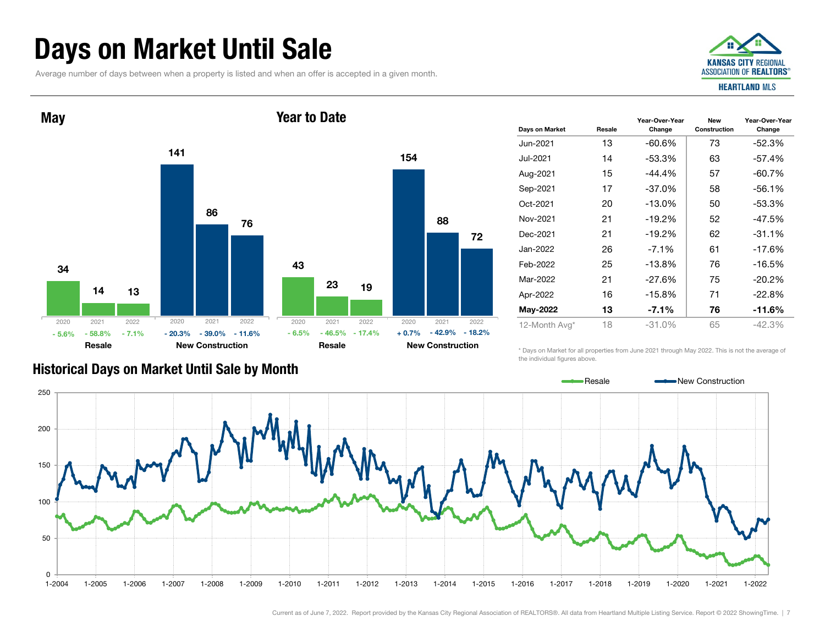### Days on Market Until Sale

Average number of days between when a property is listed and when an offer is accepted in a given month.







| Days on Market | Resale | Year-Over-Year<br>Change | <b>New</b><br>Construction | Year-Over-Year<br>Change |
|----------------|--------|--------------------------|----------------------------|--------------------------|
| Jun-2021       | 13     | $-60.6%$                 | 73                         | $-52.3%$                 |
| Jul-2021       | 14     | $-53.3%$                 | 63                         | $-57.4%$                 |
| Aug-2021       | 15     | $-44.4%$                 | 57                         | $-60.7%$                 |
| Sep-2021       | 17     | $-37.0%$                 | 58                         | $-56.1%$                 |
| Oct-2021       | 20     | $-13.0%$                 | 50                         | $-53.3%$                 |
| Nov-2021       | 21     | $-19.2%$                 | 52                         | $-47.5%$                 |
| Dec-2021       | 21     | $-19.2%$                 | 62                         | $-31.1%$                 |
| Jan-2022       | 26     | $-7.1\%$                 | 61                         | $-17.6%$                 |
| Feb-2022       | 25     | $-13.8%$                 | 76                         | $-16.5%$                 |
| Mar-2022       | 21     | $-27.6%$                 | 75                         | $-20.2%$                 |
| Apr-2022       | 16     | $-15.8%$                 | 71                         | $-22.8%$                 |
| May-2022       | 13     | $-7.1\%$                 | 76                         | $-11.6%$                 |
| 12-Month Avg*  | 18     | $-31.0%$                 | 65                         | $-42.3%$                 |

#### Historical Days on Market Until Sale by Month

\* Days on Market for all properties from June 2021 through May 2022. This is not the average of the individual figures above.



Current as of June 7, 2022. Report provided by the Kansas City Regional Association of REALTORS®. All data from Heartland Multiple Listing Service. Report © 2022 ShowingTime. | 7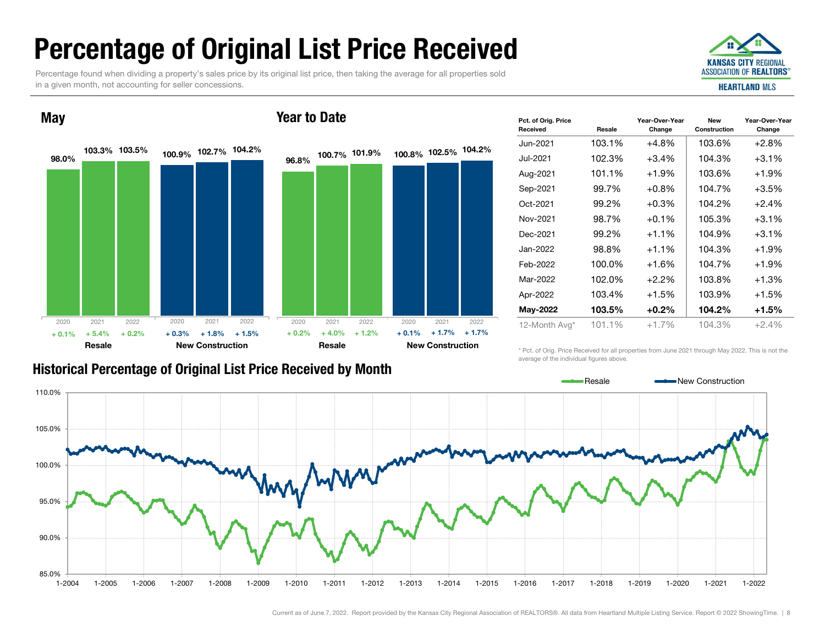### Percentage of Original List Price Received

Percentage found when dividing a property's sales price by its original list price, then taking the average for all properties sold in a given month, not accounting for seller concessions.



#### 98.0%103.3% 103.5% <sub>100.9%</sub> 102.7% 104.2% Resale New Construction **May** 96.8% 100.7% 101.9% 100.8% 102.5% 104.2% Resale New Construction Year to Date2020 2021 2022+ 5.4% $\%$  + 0.2% +  $\frac{1.7}{6}$  +  $\frac{1.8}{6}$  +  $\frac{1.5}{6}$  +  $\frac{1.2}{6}$  +  $\frac{1.2}{6}$  +  $\frac{1.2}{6}$  +  $\frac{1.7}{6}$  +  $\frac{1.7}{6}$  +  $\frac{1.7}{6}$ 2020 2021 2022 2020 2021 2022 2020 2021 2022  $+ 0.1%$  $\%$  + 5.4% + 0.2% + 0.3% + 1.8% + 1.5% + 0.2% + 4.0% + 1.2% + 0.1%

#### Historical Percentage of Original List Price Received by Mont h

| Pct. of Orig. Price<br>Received | Resale | Year-Over-Year<br>Change | <b>New</b><br>Construction | Year-Over-Year<br>Change |
|---------------------------------|--------|--------------------------|----------------------------|--------------------------|
| Jun-2021                        | 103.1% | +4.8%                    | 103.6%                     | $+2.8%$                  |
| Jul-2021                        | 102.3% | $+3.4%$                  | 104.3%                     | $+3.1%$                  |
| Aug-2021                        | 101.1% | $+1.9%$                  | 103.6%                     | $+1.9%$                  |
| Sep-2021                        | 99.7%  | $+0.8\%$                 | 104.7%                     | $+3.5%$                  |
| Oct-2021                        | 99.2%  | $+0.3%$                  | 104.2%                     | $+2.4%$                  |
| Nov-2021                        | 98.7%  | $+0.1\%$                 | 105.3%                     | $+3.1%$                  |
| Dec-2021                        | 99.2%  | $+1.1%$                  | 104.9%                     | $+3.1%$                  |
| Jan-2022                        | 98.8%  | $+1.1%$                  | 104.3%                     | $+1.9%$                  |
| Feb-2022                        | 100.0% | +1.6%                    | 104.7%                     | $+1.9%$                  |
| Mar-2022                        | 102.0% | $+2.2\%$                 | 103.8%                     | $+1.3%$                  |
| Apr-2022                        | 103.4% | $+1.5%$                  | 103.9%                     | $+1.5%$                  |
| May-2022                        | 103.5% | $+0.2\%$                 | 104.2%                     | $+1.5%$                  |
| 12-Month Avg*                   | 101.1% | $+1.7%$                  | 104.3%                     | $+2.4%$                  |

\* Pct. of Orig. Price Received for all properties from June 2021 through May 2022. This is not the average of the individual figures above.

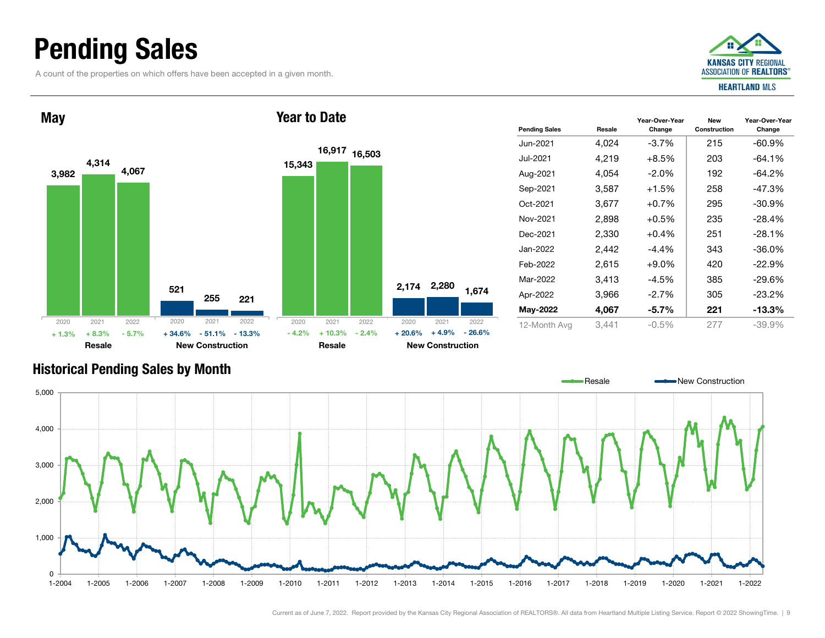### Pending Sales

A count of the properties on which offers have been accepted in a given month.





| <b>Pending Sales</b> | Resale | Year-Over-Year<br>Change | <b>New</b><br>Construction | Year-Over-Year<br>Change |
|----------------------|--------|--------------------------|----------------------------|--------------------------|
| Jun-2021             | 4,024  | $-3.7%$                  | 215                        | $-60.9%$                 |
| Jul-2021             | 4,219  | +8.5%                    | 203                        | $-64.1%$                 |
| Aug-2021             | 4.054  | $-2.0\%$                 | 192                        | $-64.2%$                 |
| Sep-2021             | 3,587  | $+1.5%$                  | 258                        | $-47.3%$                 |
| Oct-2021             | 3.677  | $+0.7%$                  | 295                        | $-30.9%$                 |
| Nov-2021             | 2,898  | $+0.5%$                  | 235                        | $-28.4%$                 |
| Dec-2021             | 2,330  | $+0.4%$                  | 251                        | $-28.1%$                 |
| Jan-2022             | 2,442  | -4.4%                    | 343                        | -36.0%                   |
| Feb-2022             | 2,615  | $+9.0\%$                 | 420                        | $-22.9%$                 |
| Mar-2022             | 3,413  | $-4.5\%$                 | 385                        | $-29.6%$                 |
| Apr-2022             | 3,966  | $-2.7\%$                 | 305                        | $-23.2\%$                |
| May-2022             | 4,067  | $-5.7\%$                 | 221                        | $-13.3%$                 |
| 12-Month Avg         | 3,441  | -0.5%                    | 277                        | $-39.9\%$                |

#### Historical Pending Sales by Month

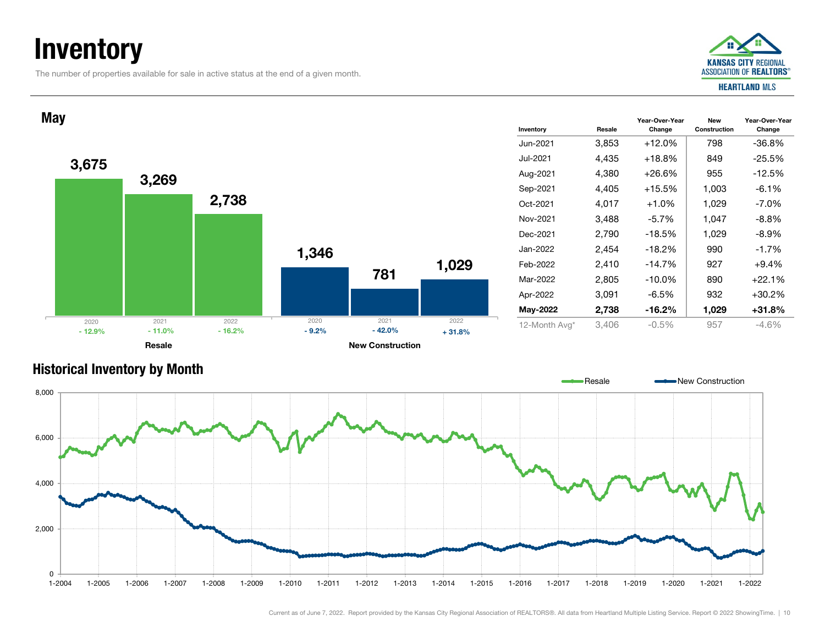### **Inventory**

The number of properties available for sale in active status at the end of a given month.





| Inventory | Resale | Year-Over-Year<br>Change | New<br>Construction | Year-Over-Year<br>Change |
|-----------|--------|--------------------------|---------------------|--------------------------|
| Jun-2021  | 3,853  | $+12.0%$                 | 798                 | $-36.8%$                 |
| Jul-2021  | 4,435  | $+18.8%$                 | 849                 | $-25.5%$                 |
| Aug-2021  | 4,380  | $+26.6%$                 | 955                 | $-12.5%$                 |
| Sep-2021  | 4,405  | $+15.5%$                 | 1,003               | $-6.1%$                  |
| Oct-2021  | 4,017  | $+1.0%$                  | 1,029               | $-7.0\%$                 |
| Nov-2021  | 3,488  | -5.7%                    | 1,047               | $-8.8%$                  |
| Dec-2021  | 2,790  | $-18.5%$                 | 1,029               | $-8.9\%$                 |
| Jan-2022  | 2,454  | $-18.2%$                 | 990                 | $-1.7%$                  |
| Feb-2022  | 2,410  | $-14.7%$                 | 927                 | $+9.4%$                  |
| Mar-2022  | 2,805  | $-10.0\%$                | 890                 | $+22.1%$                 |
| Apr-2022  | 3,091  | $-6.5%$                  | 932                 | +30.2%                   |
| May-2022  | 2,738  | $-16.2%$                 | 1,029               | +31.8%                   |
|           |        |                          |                     |                          |

#### Historical Inventory by Month

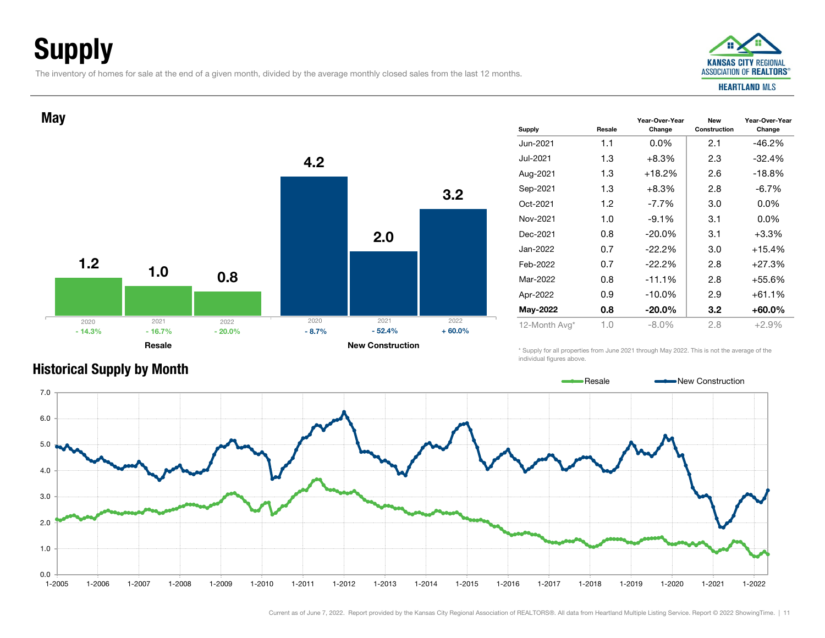## Supply

The inventory of homes for sale at the end of a given month, divided by the average monthly closed sales from the last 12 months.





Historical Supply by Month

\* Supply for all properties from June 2021 through May 2022. This is not the average of the individual figures above.